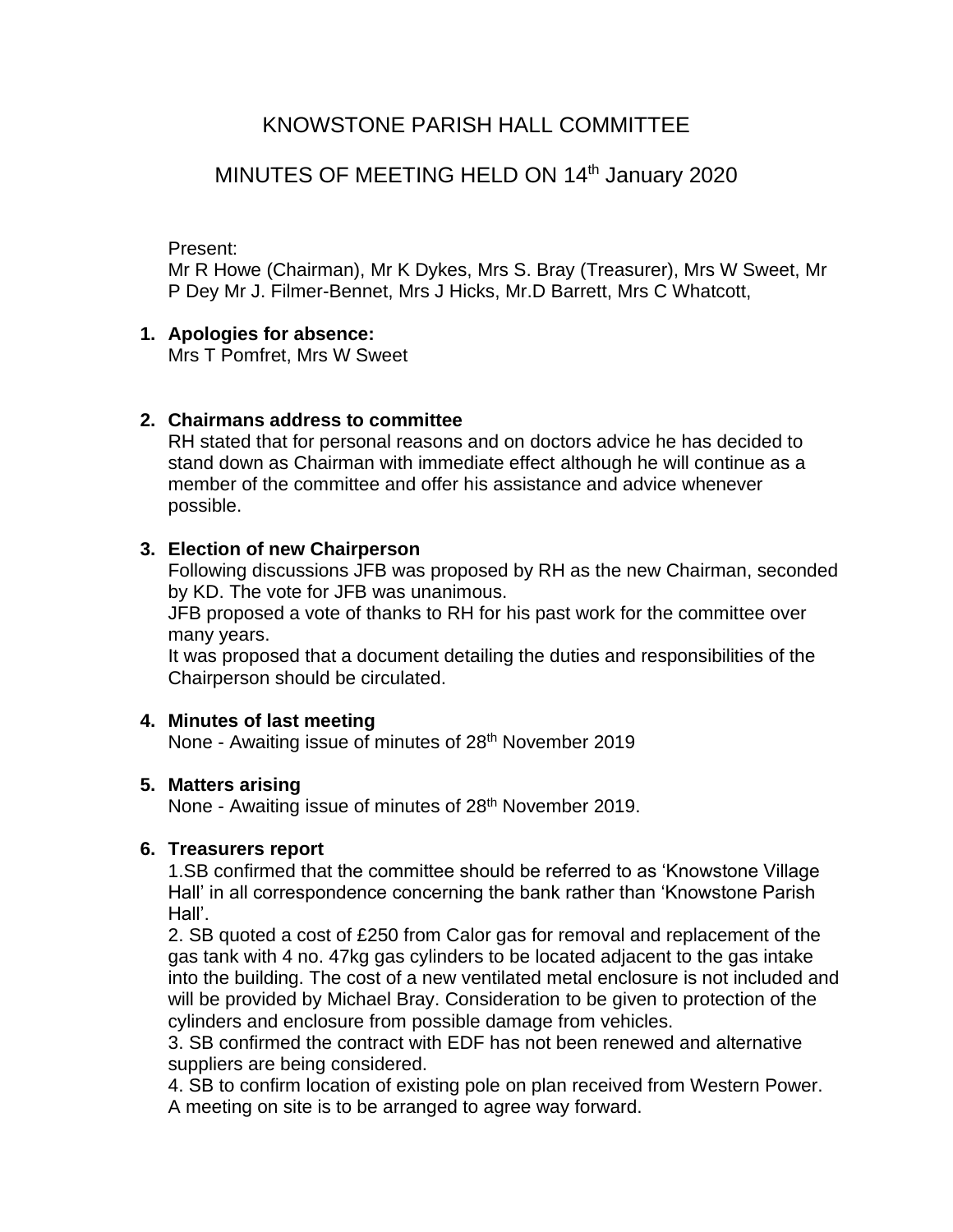# KNOWSTONE PARISH HALL COMMITTEE

# MINUTES OF MEETING HELD ON 14<sup>th</sup> January 2020

#### Present:

Mr R Howe (Chairman), Mr K Dykes, Mrs S. Bray (Treasurer), Mrs W Sweet, Mr P Dey Mr J. Filmer-Bennet, Mrs J Hicks, Mr.D Barrett, Mrs C Whatcott,

### **1. Apologies for absence:**

Mrs T Pomfret, Mrs W Sweet

### **2. Chairmans address to committee**

RH stated that for personal reasons and on doctors advice he has decided to stand down as Chairman with immediate effect although he will continue as a member of the committee and offer his assistance and advice whenever possible.

### **3. Election of new Chairperson**

Following discussions JFB was proposed by RH as the new Chairman, seconded by KD. The vote for JFB was unanimous.

JFB proposed a vote of thanks to RH for his past work for the committee over many years.

It was proposed that a document detailing the duties and responsibilities of the Chairperson should be circulated.

### **4. Minutes of last meeting**

None - Awaiting issue of minutes of 28<sup>th</sup> November 2019

### **5. Matters arising**

None - Awaiting issue of minutes of 28<sup>th</sup> November 2019.

### **6. Treasurers report**

1.SB confirmed that the committee should be referred to as 'Knowstone Village Hall' in all correspondence concerning the bank rather than 'Knowstone Parish Hall'.

2. SB quoted a cost of £250 from Calor gas for removal and replacement of the gas tank with 4 no. 47kg gas cylinders to be located adjacent to the gas intake into the building. The cost of a new ventilated metal enclosure is not included and will be provided by Michael Bray. Consideration to be given to protection of the cylinders and enclosure from possible damage from vehicles.

3. SB confirmed the contract with EDF has not been renewed and alternative suppliers are being considered.

4. SB to confirm location of existing pole on plan received from Western Power. A meeting on site is to be arranged to agree way forward.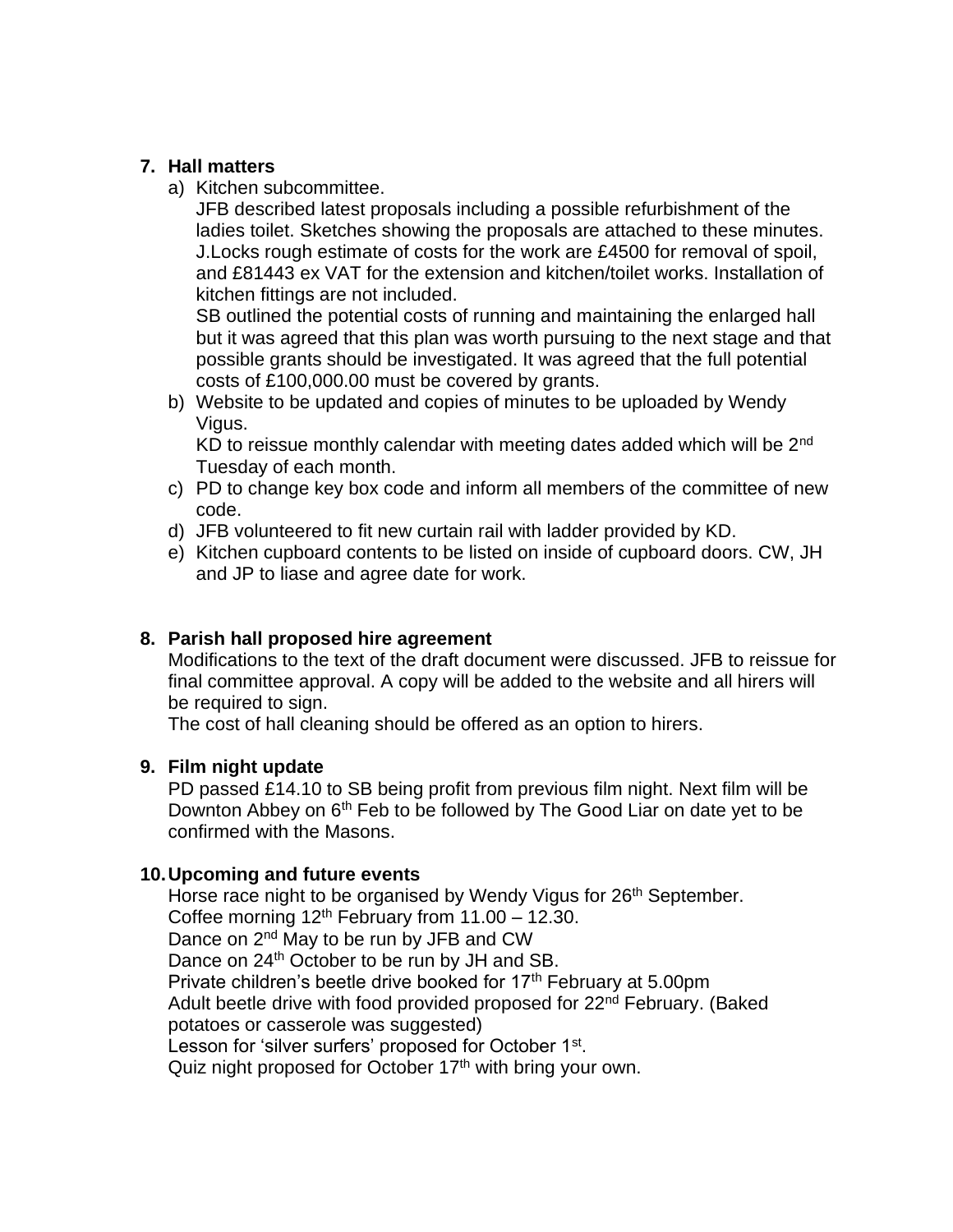### **7. Hall matters**

a) Kitchen subcommittee.

JFB described latest proposals including a possible refurbishment of the ladies toilet. Sketches showing the proposals are attached to these minutes. J.Locks rough estimate of costs for the work are £4500 for removal of spoil, and £81443 ex VAT for the extension and kitchen/toilet works. Installation of kitchen fittings are not included.

SB outlined the potential costs of running and maintaining the enlarged hall but it was agreed that this plan was worth pursuing to the next stage and that possible grants should be investigated. It was agreed that the full potential costs of £100,000.00 must be covered by grants.

b) Website to be updated and copies of minutes to be uploaded by Wendy Vigus.

KD to reissue monthly calendar with meeting dates added which will be  $2<sup>nd</sup>$ Tuesday of each month.

- c) PD to change key box code and inform all members of the committee of new code.
- d) JFB volunteered to fit new curtain rail with ladder provided by KD.
- e) Kitchen cupboard contents to be listed on inside of cupboard doors. CW, JH and JP to liase and agree date for work.

## **8. Parish hall proposed hire agreement**

Modifications to the text of the draft document were discussed. JFB to reissue for final committee approval. A copy will be added to the website and all hirers will be required to sign.

The cost of hall cleaning should be offered as an option to hirers.

## **9. Film night update**

PD passed £14.10 to SB being profit from previous film night. Next film will be Downton Abbey on 6<sup>th</sup> Feb to be followed by The Good Liar on date yet to be confirmed with the Masons.

### **10.Upcoming and future events**

Horse race night to be organised by Wendy Vigus for 26<sup>th</sup> September. Coffee morning  $12<sup>th</sup>$  February from  $11.00 - 12.30$ . Dance on 2<sup>nd</sup> May to be run by JFB and CW Dance on 24<sup>th</sup> October to be run by JH and SB. Private children's beetle drive booked for 17<sup>th</sup> February at 5.00pm Adult beetle drive with food provided proposed for 22<sup>nd</sup> February. (Baked potatoes or casserole was suggested) Lesson for 'silver surfers' proposed for October 1st. Quiz night proposed for October 17<sup>th</sup> with bring your own.